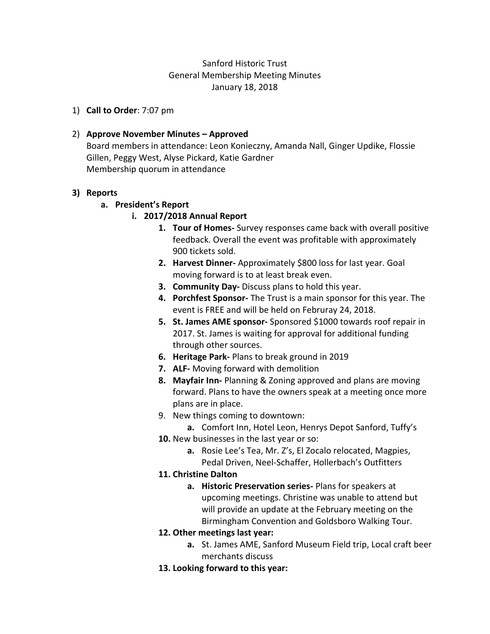# Sanford Historic Trust General Membership Meeting Minutes January 18, 2018

1) **Call to Order**: 7:07 pm

### 2) **Approve November Minutes – Approved**

Board members in attendance: Leon Konieczny, Amanda Nall, Ginger Updike, Flossie Gillen, Peggy West, Alyse Pickard, Katie Gardner Membership quorum in attendance

#### **3) Reports**

#### **a. President's Report**

- **i. 2017/2018 Annual Report**
	- **1. Tour of Homes-** Survey responses came back with overall positive feedback. Overall the event was profitable with approximately 900 tickets sold.
	- **2. Harvest Dinner-** Approximately \$800 loss for last year. Goal moving forward is to at least break even.
	- **3. Community Day-** Discuss plans to hold this year.
	- **4. Porchfest Sponsor-** The Trust is a main sponsor for this year. The event is FREE and will be held on Februray 24, 2018.
	- **5. St. James AME sponsor-** Sponsored \$1000 towards roof repair in 2017. St. James is waiting for approval for additional funding through other sources.
	- **6. Heritage Park-** Plans to break ground in 2019
	- **7. ALF-** Moving forward with demolition
	- **8. Mayfair Inn-** Planning & Zoning approved and plans are moving forward. Plans to have the owners speak at a meeting once more plans are in place.
	- 9. New things coming to downtown:
		- **a.** Comfort Inn, Hotel Leon, Henrys Depot Sanford, Tuffy's
	- **10.** New businesses in the last year or so:
		- **a.** Rosie Lee's Tea, Mr. Z's, El Zocalo relocated, Magpies, Pedal Driven, Neel-Schaffer, Hollerbach's Outfitters
	- **11. Christine Dalton**
		- **a. Historic Preservation series-** Plans for speakers at upcoming meetings. Christine was unable to attend but will provide an update at the February meeting on the Birmingham Convention and Goldsboro Walking Tour.
	- **12. Other meetings last year:**
		- **a.** St. James AME, Sanford Museum Field trip, Local craft beer merchants discuss
	- **13. Looking forward to this year:**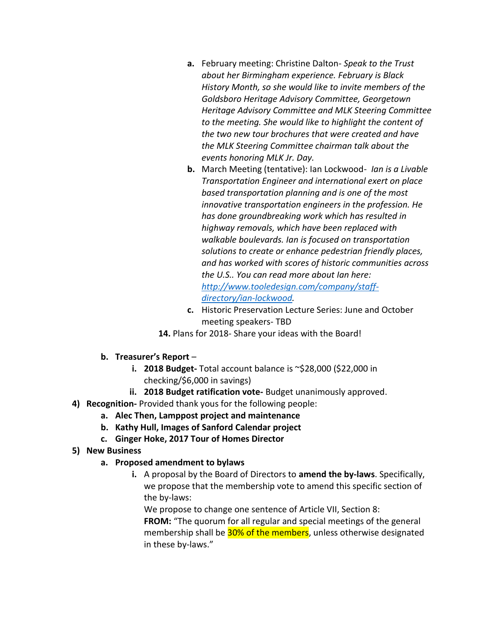- **a.** February meeting: Christine Dalton- *Speak to the Trust about her Birmingham experience. February is Black History Month, so she would like to invite members of the Goldsboro Heritage Advisory Committee, Georgetown Heritage Advisory Committee and MLK Steering Committee to the meeting. She would like to highlight the content of the two new tour brochures that were created and have the MLK Steering Committee chairman talk about the events honoring MLK Jr. Day.*
- **b.** March Meeting (tentative): Ian Lockwood- *Ian is a Livable Transportation Engineer and international exert on place based transportation planning and is one of the most innovative transportation engineers in the profession. He has done groundbreaking work which has resulted in highway removals, which have been replaced with walkable boulevards. Ian is focused on transportation solutions to create or enhance pedestrian friendly places, and has worked with scores of historic communities across the U.S.. You can read more about Ian here: [http://www.tooledesign.com/company/staff](http://www.tooledesign.com/company/staff-directory/ian-lockwood)[directory/ian-lockwood.](http://www.tooledesign.com/company/staff-directory/ian-lockwood)*
- **c.** Historic Preservation Lecture Series: June and October meeting speakers- TBD
- **14.** Plans for 2018- Share your ideas with the Board!
- **b. Treasurer's Report** 
	- **i. 2018 Budget-** Total account balance is ~\$28,000 (\$22,000 in checking/\$6,000 in savings)
	- **ii. 2018 Budget ratification vote-** Budget unanimously approved.
- **4) Recognition-** Provided thank yous for the following people:
	- **a. Alec Then, Lamppost project and maintenance**
	- **b. Kathy Hull, Images of Sanford Calendar project**
	- **c. Ginger Hoke, 2017 Tour of Homes Director**
- **5) New Business**
	- **a. Proposed amendment to bylaws**
		- **i.** A proposal by the Board of Directors to **amend the by-laws**. Specifically, we propose that the membership vote to amend this specific section of the by-laws:

We propose to change one sentence of Article VII, Section 8: **FROM:** "The quorum for all regular and special meetings of the general membership shall be 30% of the members, unless otherwise designated in these by-laws."